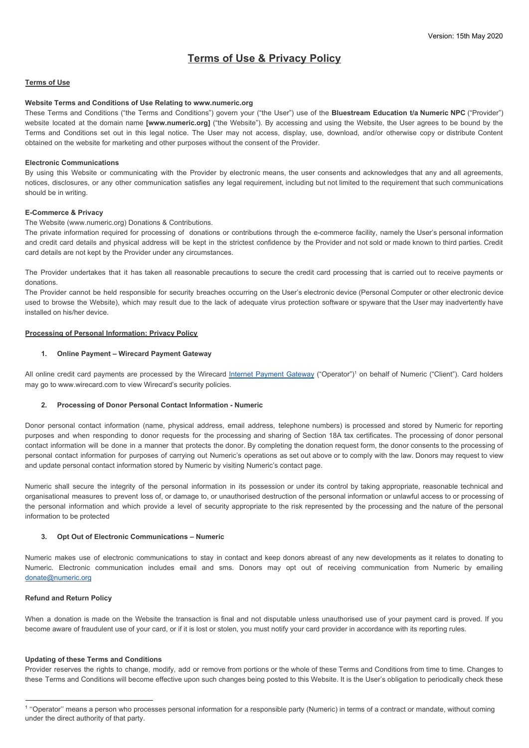# **Terms of Use & Privacy Policy**

## **Terms of Use**

## **Website Terms and Conditions of Use Relating to www.numeric.org**

These Terms and Conditions ("the Terms and Conditions") govern your ("the User") use of the **Bluestream Education t/a Numeric NPC** ("Provider") website located at the domain name **[www.numeric.org]** ("the Website"). By accessing and using the Website, the User agrees to be bound by the Terms and Conditions set out in this legal notice. The User may not access, display, use, download, and/or otherwise copy or distribute Content obtained on the website for marketing and other purposes without the consent of the Provider.

#### **Electronic Communications**

By using this Website or communicating with the Provider by electronic means, the user consents and acknowledges that any and all agreements, notices, disclosures, or any other communication satisfies any legal requirement, including but not limited to the requirement that such communications should be in writing.

### **E-Commerce & Privacy**

The Website (www.numeric.org) Donations & Contributions.

The private information required for processing of donations or contributions through the e-commerce facility, namely the User's personal information and credit card details and physical address will be kept in the strictest confidence by the Provider and not sold or made known to third parties. Credit card details are not kept by the Provider under any circumstances.

The Provider undertakes that it has taken all reasonable precautions to secure the credit card processing that is carried out to receive payments or donations.

The Provider cannot be held responsible for security breaches occurring on the User's electronic device (Personal Computer or other electronic device used to browse the Website), which may result due to the lack of adequate virus protection software or spyware that the User may inadvertently have installed on his/her device.

## **Processing of Personal Information: Privacy Policy**

#### **1. Online Payment – Wirecard Payment Gateway**

All online cre[d](https://www.wirecard.co.za/)it card payments are processed by the Wirecard Internet [Payment](https://www.wirecard.co.za/) Gateway ("Operator")<sup>1</sup> on behalf of Numeric ("Client"). Card holders may go to [www.wirecard.com](https://www.wirecard.com/en-af/privacy-policy) to view Wirecard's security policies.

### **2. Processing of Donor Personal Contact Information - Numeric**

Donor personal contact information (name, physical address, email address, telephone numbers) is processed and stored by Numeric for reporting purposes and when responding to donor requests for the processing and sharing of Section 18A tax certificates. The processing of donor personal contact information will be done in a manner that protects the donor. By completing the donation request form, the donor consents to the processing of personal contact information for purposes of carrying out Numeric's operations as set out above or to comply with the law. Donors may request to view and update personal contact information stored by Numeric by visiting Numeric's contact page.

Numeric shall secure the integrity of the personal information in its possession or under its control by taking appropriate, reasonable technical and organisational measures to prevent loss of, or damage to, or unauthorised destruction of the personal information or unlawful access to or processing of the personal information and which provide a level of security appropriate to the risk represented by the processing and the nature of the personal information to be protected

## **3. Opt Out of Electronic Communications – Numeric**

Numeric makes use of electronic communications to stay in contact and keep donors abreast of any new developments as it relates to donating to Numeric. Electronic communication includes email and sms. Donors may opt out of receiving communication from Numeric by emailing [donate@numeric.org](mailto:donate@numeric.org)

## **Refund and Return Policy**

When a donation is made on the Website the transaction is final and not disputable unless unauthorised use of your payment card is proved. If you become aware of fraudulent use of your card, or if it is lost or stolen, you must notify your card provider in accordance with its reporting rules.

#### **Updating of these Terms and Conditions**

Provider reserves the rights to change, modify, add or remove from portions or the whole of these Terms and Conditions from time to time. Changes to these Terms and Conditions will become effective upon such changes being posted to this Website. It is the User's obligation to periodically check these

<sup>1</sup> ''Operator'' means a person who processes personal information for a responsible party (Numeric) in terms of a contract or mandate, without coming under the direct authority of that party.